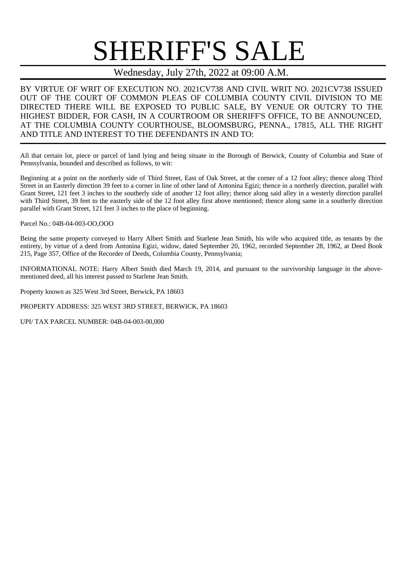## SHERIFF'S SALE

## Wednesday, July 27th, 2022 at 09:00 A.M.

BY VIRTUE OF WRIT OF EXECUTION NO. 2021CV738 AND CIVIL WRIT NO. 2021CV738 ISSUED OUT OF THE COURT OF COMMON PLEAS OF COLUMBIA COUNTY CIVIL DIVISION TO ME DIRECTED THERE WILL BE EXPOSED TO PUBLIC SALE, BY VENUE OR OUTCRY TO THE HIGHEST BIDDER, FOR CASH, IN A COURTROOM OR SHERIFF'S OFFICE, TO BE ANNOUNCED, AT THE COLUMBIA COUNTY COURTHOUSE, BLOOMSBURG, PENNA., 17815, ALL THE RIGHT AND TITLE AND INTEREST TO THE DEFENDANTS IN AND TO:

All that certain lot, piece or parcel of land lying and being situate in the Borough of Berwick, County of Columbia and State of Pennsylvania, bounded and described as follows, to wit:

Beginning at a point on the northerly side of Third Street, East of Oak Street, at the corner of a 12 foot alley; thence along Third Street in an Easterly direction 39 feet to a corner in line of other land of Antonina Egizi; thence in a northerly direction, parallel with Grant Street, 121 feet 3 inches to the southerly side of another 12 foot alley; thence along said alley in a westerly direction parallel with Third Street, 39 feet to the easterly side of the 12 foot alley first above mentioned; thence along same in a southerly direction parallel with Grant Street, 121 feet 3 inches to the place of beginning.

Parcel No.: 04B-04-003-OO,OOO

Being the same property conveyed to Harry Albert Smith and Starlene Jean Smith, his wife who acquired title, as tenants by the entirety, by virtue of a deed from Antonina Egizi, widow, dated September 20, 1962, recorded September 28, 1962, at Deed Book 215, Page 357, Office of the Recorder of Deeds, Columbia County, Pennsylvania;

INFORMATIONAL NOTE: Harry Albert Smith died March 19, 2014, and pursuant to the survivorship language in the abovementioned deed, all his interest passed to Starlene Jean Smith.

Property known as 325 West 3rd Street, Berwick, PA 18603

PROPERTY ADDRESS: 325 WEST 3RD STREET, BERWICK, PA 18603

UPI/ TAX PARCEL NUMBER: 04B-04-003-00,000